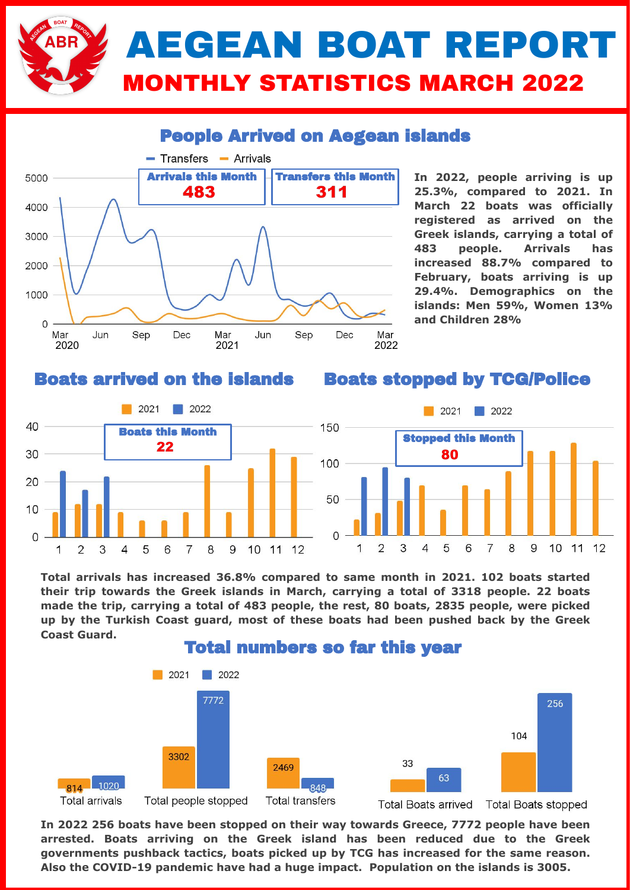# AEGEAN BOAT REPORT MONTHLY STATISTICS MARCH 2022

### People Arrived on Aegean islands



**In 2022, people arriving is up 25.3%, compared to 2021. In March 22 boats was officially registered as arrived on the Greek islands, carrying a total of 483 people. Arrivals has increased 88.7% compared to February, boats arriving is up 29.4%. Demographics on the islands: Men 59%, Women 13% and Children 28%**

#### Boats arrived on the islands

#### Boats stopped by TCG/Police



**Total arrivals has increased 36.8% compared to same month in 2021. 102 boats started their trip towards the Greek islands in March, carrying a total of 3318 people. 22 boats made the trip, carrying a total of 483 people, the rest, 80 boats, 2835 people, were picked up by the Turkish Coast guard, most of these boats had been pushed back by the Greek Coast Guard.** 



**In 2022 256 boats have been stopped on their way towards Greece, 7772 people have been arrested. Boats arriving on the Greek island has been reduced due to the Greek governments pushback tactics, boats picked up by TCG has increased for the same reason. Also the COVID-19 pandemic have had a huge impact. Population on the islands is 3005.**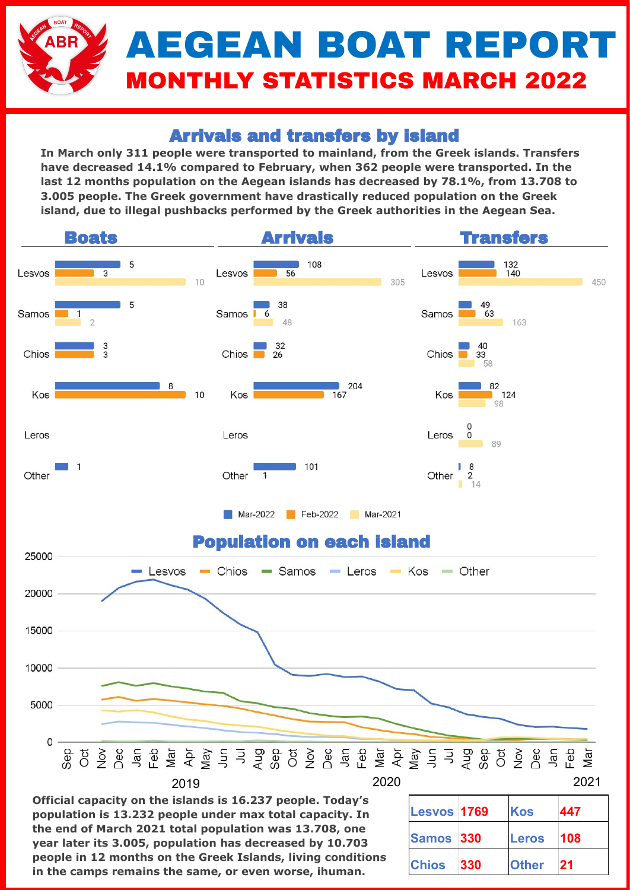# AEGEAN BOAT REPORT MONTHLY STATISTICS MARCH 2022

## Arrivals and transfers by island

**In March only 311 people were transported to mainland, from the Greek islands. Transfers have decreased 14.1% compared to February, when 362 people were transported. In the last 12 months population on the Aegean islands has decreased by 78.1%, from 13.708 to 3.005 people. The Greek government have drastically reduced population on the Greek island, due to illegal pushbacks performed by the Greek authorities in the Aegean Sea.** 



**Official capacity on the islands is 16.237 people. Today's population is 13.232 people under max total capacity. In the end of March 2021 total population was 13.708, one year later its 3.005, population has decreased by 10.703 people in 12 months on the Greek Islands, living conditions in the camps remains the same, or even worse, ihuman.**

| <b>Lesvos 1769</b> |     | Kos          | 447 |
|--------------------|-----|--------------|-----|
| Samos 330          |     | <b>Leros</b> | 108 |
| <b>Chios</b>       | 330 | <b>Other</b> | 21  |